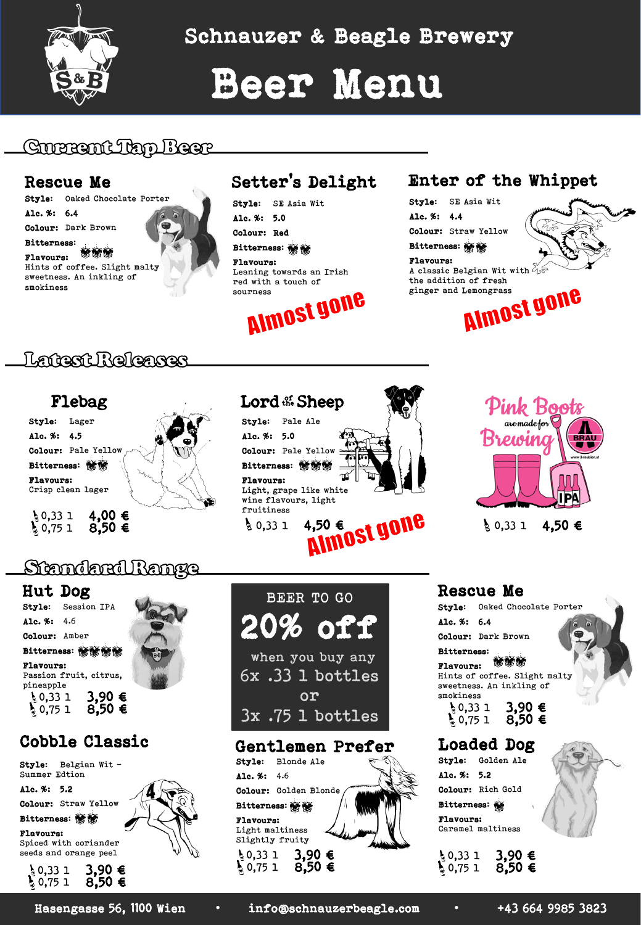

Schnauzer & Beagle Brewery

# Beer Menu

# GUERANCIAN IBAE

### Rescue Me

Style: Oaked Chocolate Porter

Alc. %: 6.4

Colour: Dark Brown

Bitterness:<br>Blauenness: WIND

Flavours: Hints of coffee. Slight malty sweetness. An inkling of smokiness

# Setter's Delight

Style: SE Asia Wit Alc. %: 5.0

Colour: Red

Bitterness: Flavours:

Leaning towards an Irish red with a touch of



## Enter of the Whippet

Style: SE Asia Wit Alc. %: 4.4

Colour: Straw Yellow

**Bitterness:** 

#### Flavours:

A classic Belgian Wit with  $\partial_t$ ginger and Lemongrass



the addition of fresh<br>ginger and Lemongrass<br>**IMMSI HONE** 

# langsni Roloares



#### Lord && Sheep Style: Pale Ale Alc. %: 5.0  $\mathbf{r}$ Colour: Pale Yellow : Bitterness: **MMW** Flavours: Light, grape like white wine flavours, light<br>fruitiness<br>↓0,33 1 4,50 €<br>
MIMOSI MOIIC fruitiness  $\frac{1}{9}$  0,33 1 4,50 €





 $\{0,331, 4,50 \in$ 

## Standard Range

#### Hut Dog

Style: Session IPA Alc. %: 4.6

Colour: Amber

Bitterness: 情務情務

Flavours: Passion fruit, citrus, pineapple

 $\frac{1}{2}$  0,33 1 3,90 €<br> $\frac{1}{2}$  0,75 1 8,50 €

## Cobble Classic

Style: Belgian Wit – Summer Edtion

Alc. %: 5.2

Colour: Straw Yellow Bitterness: **MM** 

Flavours: Spiced with coriander

seeds and orange peel



Alc. % Colou: Bitte: Flavo Light Slight  $\frac{1}{3}$  0,3  $\frac{1}{3}$  0,75 1



| 52             | 4.6                     |
|----------------|-------------------------|
| r:             | Golden Blonde           |
|                | rness: WW               |
| urs:           | maltiness<br>tly fruity |
| 3<br>-1<br>e s | €                       |

#### Style: Oaked Chocolate Porter Alc. %: 6.4 Colour: Dark Brown Bitterness: **MMM** Flavours:

Hints of coffee. Slight malty sweetness. An inkling of

- smokiness<br> $\begin{array}{c} 0,33 \\ 0,75 \end{array}$ 3,90 €<br>8,50 €
- Loaded Dog Style: Golden Ale Alc. %: 5.2 Colour: Rich Gold Bitterness:

Flavours: Caramel maltiness

|                                              | 3,90 € |  |
|----------------------------------------------|--------|--|
| $\frac{1}{2}$ 0,33 1<br>$\frac{1}{2}$ 0,75 1 | 8,50 € |  |